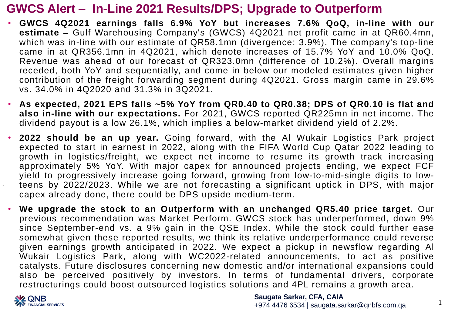## **GWCS Alert – In-Line 2021 Results/DPS; Upgrade to Outperform**

- **GWCS 4Q2021 earnings falls 6.9% YoY but increases 7.6% QoQ, in-line with our estimate –** Gulf Warehousing Company's (GWCS) 4Q2021 net profit came in at QR60.4mn, which was in-line with our estimate of QR58.1mn (divergence: 3.9%). The company's top-line came in at QR356.1mn in 4Q2021, which denote increases of 15.7% YoY and 10.0% QoQ. Revenue was ahead of our forecast of QR323.0mn (difference of 10.2%). Overall margins receded, both YoY and sequentially, and come in below our modeled estimates given higher contribution of the freight forwarding segment during 4Q2021. Gross margin came in 29.6% vs. 34.0% in 4Q2020 and 31.3% in 3Q2021.
- **As expected, 2021 EPS falls ~5% YoY from QR0.40 to QR0.38; DPS of QR0.10 is flat and also in-line with our expectations.** For 2021, GWCS reported QR225mn in net income. The dividend payout is a low 26.1%, which implies a below-market dividend yield of 2.2%.
- **2022 should be an up year.** Going forward, with the Al Wukair Logistics Park project expected to start in earnest in 2022, along with the FIFA World Cup Qatar 2022 leading to growth in logistics/freight, we expect net income to resume its growth track increasing approximately 5% YoY. With major capex for announced projects ending, we expect FCF yield to progressively increase going forward, growing from low-to-mid-single digits to lowteens by 2022/2023. While we are not forecasting a significant uptick in DPS, with major capex already done, there could be DPS upside medium-term.
- **We upgrade the stock to an Outperform with an unchanged QR5.40 price target.** Our previous recommendation was Market Perform. GWCS stock has underperformed, down 9% since September-end vs. a 9% gain in the QSE Index. While the stock could further ease somewhat given these reported results, we think its relative underperformance could reverse given earnings growth anticipated in 2022. We expect a pickup in newsflow regarding Al Wukair Logistics Park, along with WC2022-related announcements, to act as positive catalysts. Future disclosures concerning new domestic and/or international expansions could also be perceived positively by investors. In terms of fundamental drivers, corporate restructurings could boost outsourced logistics solutions and 4PL remains a growth area.



**Saugata Sarkar, CFA, CAIA** +974 4476 6534 | saugata.sarkar@qnbfs.com.qa

1